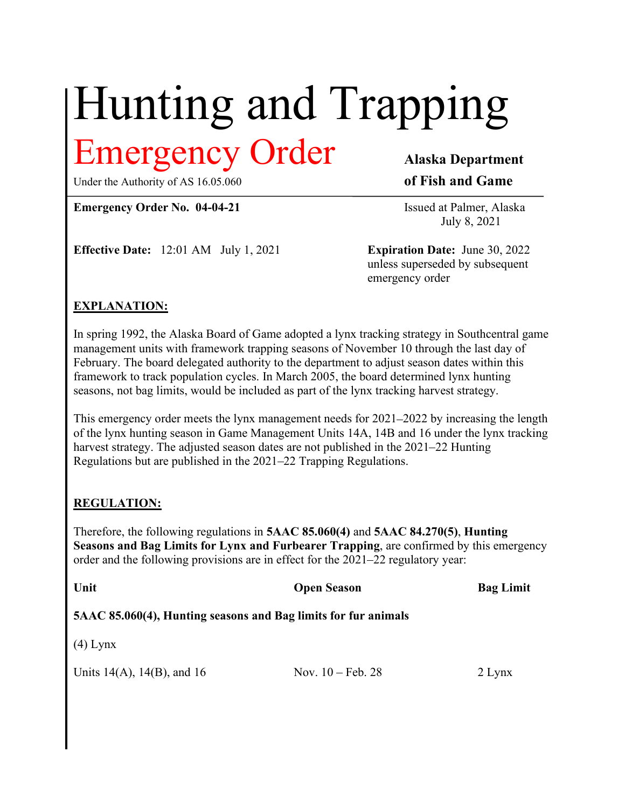# Hunting and Trapping Emergency Order Alaska Department

### Under the Authority of AS 16.05.060 of Fish and Game

Emergency Order No. 04-04-21 Issued at Palmer, Alaska

July 8, 2021

**Effective Date:** 12:01 AM July 1, 2021 **Expiration Date:** June 30, 2022

 unless superseded by subsequent emergency order

# EXPLANATION:

In spring 1992, the Alaska Board of Game adopted a lynx tracking strategy in Southcentral game management units with framework trapping seasons of November 10 through the last day of February. The board delegated authority to the department to adjust season dates within this framework to track population cycles. In March 2005, the board determined lynx hunting seasons, not bag limits, would be included as part of the lynx tracking harvest strategy.

This emergency order meets the lynx management needs for 2021–2022 by increasing the length of the lynx hunting season in Game Management Units 14A, 14B and 16 under the lynx tracking harvest strategy. The adjusted season dates are not published in the 2021–22 Hunting Regulations but are published in the 2021–22 Trapping Regulations.

# REGULATION:

Therefore, the following regulations in 5AAC 85.060(4) and 5AAC 84.270(5), Hunting Seasons and Bag Limits for Lynx and Furbearer Trapping, are confirmed by this emergency order and the following provisions are in effect for the 2021–22 regulatory year:

| Unit                                                           | <b>Open Season</b>          | <b>Bag Limit</b> |
|----------------------------------------------------------------|-----------------------------|------------------|
| 5AAC 85.060(4), Hunting seasons and Bag limits for fur animals |                             |                  |
| $(4)$ Lynx                                                     |                             |                  |
| Units $14(A)$ , $14(B)$ , and $16$                             | Nov. $10 - \text{Feb. } 28$ | $2$ Lynx         |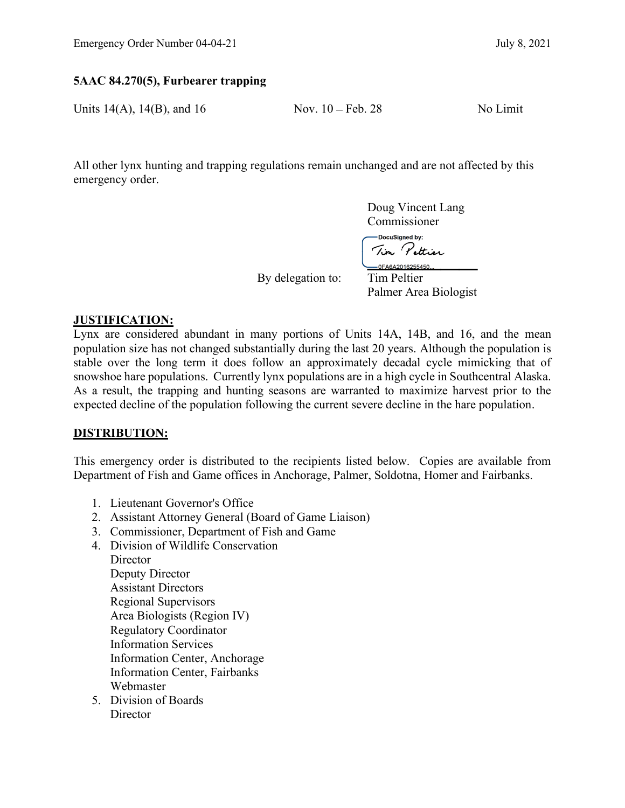# Emergency Order Number 04-04-21 July 8, 2021<br>
5AAC 84.270(5), Furbearer trapping<br>
Units 14(A), 14(B), and 16 Nov. 10 – Feb. 28 No Limit 5AAC 84.270(5), Furbearer trapping

Units  $14(A)$ ,  $14(B)$ , and  $16$  Nov.  $10 - \text{Feb. } 28$  No Limit

All other lynx hunting and trapping regulations remain unchanged and are not affected by this emergency order.

> Doug Vincent Lang Commissioner

DocuSigned by:<br>Tim Pettier<br>\_\_OFA6A2016255450...

By delegation to: Tim Peltier

Palmer Area Biologist

## JUSTIFICATION:

Lynx are considered abundant in many portions of Units 14A, 14B, and 16, and the mean population size has not changed substantially during the last 20 years. Although the population is stable over the long term it does follow an approximately decadal cycle mimicking that of snowshoe hare populations. Currently lynx populations are in a high cycle in Southcentral Alaska. As a result, the trapping and hunting seasons are warranted to maximize harvest prior to the expected decline of the population following the current severe decline in the hare population.

### DISTRIBUTION:

This emergency order is distributed to the recipients listed below. Copies are available from Department of Fish and Game offices in Anchorage, Palmer, Soldotna, Homer and Fairbanks.

- 1. Lieutenant Governor's Office
- 2. Assistant Attorney General (Board of Game Liaison)
- 3. Commissioner, Department of Fish and Game
- 4. Division of Wildlife Conservation **Director**  Deputy Director Assistant Directors Regional Supervisors Area Biologists (Region IV) Regulatory Coordinator Information Services Information Center, Anchorage Information Center, Fairbanks Webmaster
- 5. Division of Boards **Director**